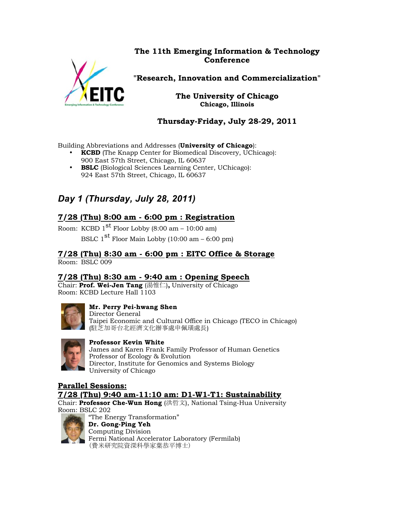### **The 11th Emerging Information & Technology Conference**



**"Research, Innovation and Commercialization"**

**The University of Chicago Chicago, Illinois**

**Thursday-Friday, July 28-29, 2011**

Building Abbreviations and Addresses (**University of Chicago**):

- **KCBD** (The Knapp Center for Biomedical Discovery, UChicago): 900 East 57th Street, Chicago, IL 60637
- **BSLC** (Biological Sciences Learning Center, UChicago): 924 East 57th Street, Chicago, IL 60637

# *Day 1 (Thursday, July 28, 2011)*

### **7/28 (Thu) 8:00 am - 6:00 pm : Registration**

Room: KCBD  $1<sup>st</sup>$  Floor Lobby (8:00 am – 10:00 am) BSLC  $1<sup>st</sup>$  Floor Main Lobby (10:00 am – 6:00 pm)

#### **7/28 (Thu) 8:30 am - 6:00 pm : EITC Office & Storage**  Room: BSLC 009

#### **7/28 (Thu) 8:30 am - 9:40 am : Opening Speech**

Chair: **Prof. Wei-Jen Tang** (湯惟仁)**,** University of Chicago Room: KCBD Lecture Hall 1103



#### **Mr. Perry Pei-hwang Shen**

Director General Taipei Economic and Cultural Office in Chicago (TECO in Chicago) (駐芝加哥台北經濟文化辦事處申佩璜處長)



#### **Professor Kevin White**

James and Karen Frank Family Professor of Human Genetics Professor of Ecology & Evolution Director, Institute for Genomics and Systems Biology University of Chicago

### **Parallel Sessions:**

**7/28 (Thu) 9:40 am-11:10 am: D1-W1-T1: Sustainability**

Chair: **Professor Che-Wun Hong** (洪哲文), National Tsing-Hua University Room: BSLC 202



"The Energy Transformation" **Dr. Gong-Ping Yeh** Computing Division Fermi National Accelerator Laboratory (Fermilab) (費米研究院資深科學家葉恭平博士)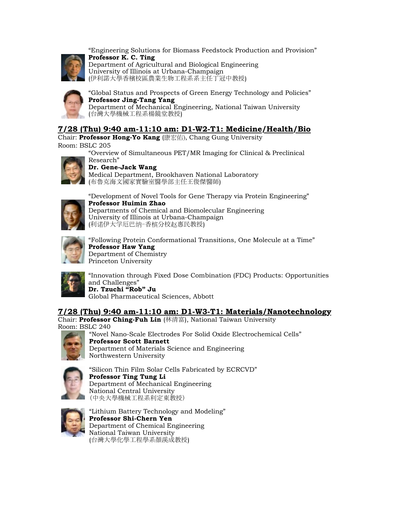

"Engineering Solutions for Biomass Feedstock Production and Provision" **Professor K. C. Ting** Department of Agricultural and Biological Engineering University of Illinois at Urbana-Champaign (伊利諾大學香檳校區農業生物工程系系主任丁冠中教授)



"Global Status and Prospects of Green Energy Technology and Policies" **Professor Jing-Tang Yang** Department of Mechanical Engineering, National Taiwan University (台灣大學機械工程系楊鏡堂教授)

### **7/28 (Thu) 9:40 am-11:10 am: D1-W2-T1: Medicine/Health/Bio**

Chair: **Professor Hong-Yo Kang** (康宏佑), Chang Gung University Room: BSLC 205

> "Overview of Simultaneous PET/MR Imaging for Clinical & Preclinical Research"



#### **Dr. Gene-Jack Wang**

Medical Department, Brookhaven National Laboratory (布魯克海文國家實驗室醫學部主任王俊傑醫師)



"Development of Novel Tools for Gene Therapy via Protein Engineering" **Professor Huimin Zhao** Departments of Chemical and Biomolecular Engineering University of Illinois at Urbana-Champaign (利诺伊大学厄巴纳-香槟分校赵惠民教授)



"Following Protein Conformational Transitions, One Molecule at a Time" **Professor Haw Yang** Department of Chemistry Princeton University



"Innovation through Fixed Dose Combination (FDC) Products: Opportunities and Challenges" **Dr. Tzuchi "Rob" Ju**

Global Pharmaceutical Sciences, Abbott

#### **7/28 (Thu) 9:40 am-11:10 am: D1-W3-T1: Materials/Nanotechnology**

Chair: **Professor Ching-Fuh Lin** (林清富), National Taiwan University Room: BSLC 240



"Novel Nano-Scale Electrodes For Solid Oxide Electrochemical Cells" **Professor Scott Barnett** Department of Materials Science and Engineering Northwestern University



"Silicon Thin Film Solar Cells Fabricated by ECRCVD" **Professor Ting Tung Li** Department of Mechanical Engineering National Central University (中央大學機械工程系利定東教授)



"Lithium Battery Technology and Modeling" **Professor Shi-Chern Yen** Department of Chemical Engineering National Taiwan University (台灣大學化學工程學系顏溪成教授)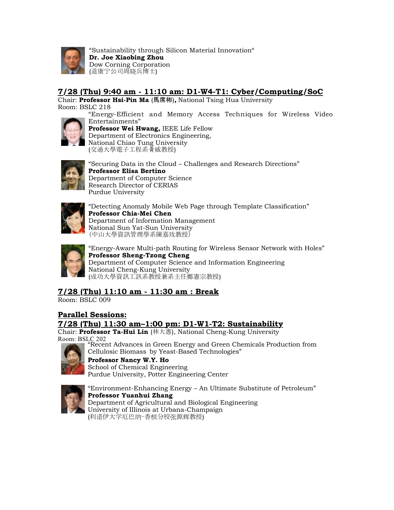

"Sustainability through Silicon Material Innovation" **Dr. Joe Xiaobing Zhou** Dow Corning Corporation (道康宁公司周晓兵博士)

### **7/28 (Thu) 9:40 am - 11:10 am: D1-W4-T1: Cyber/Computing/SoC**

Chair: **Professor Hsi-Pin Ma** (馬席彬)**,** National Tsing Hua University Room: BSLC 218 "Energy-Efficient and Memory Access Techniques for Wireless Video



Entertainments" **Professor Wei Hwang,** IEEE Life Fellow Department of Electronics Engineering, National Chiao Tung University (交通大學電子工程系黃威教授)



"Securing Data in the Cloud – Challenges and Research Directions" **Professor Elisa Bertino** Department of Computer Science Research Director of CERIAS Purdue University



"Detecting Anomaly Mobile Web Page through Template Classification" **Professor Chia-Mei Chen** Department of Information Management National Sun Yat-Sun University (中山大學資訊管理學系陳嘉玫教授)



"Energy-Aware Multi-path Routing for Wireless Sensor Network with Holes" **Professor Sheng-Tzong Cheng** Department of Computer Science and Information Engineering National Cheng-Kung University (成功大學資訊工訊系教授兼系主任鄭憲宗教授)

## **7/28 (Thu) 11:10 am - 11:30 am : Break**

Room: BSLC 009

#### **Parallel Sessions:**

### **7/28 (Thu) 11:30 am–1:00 pm: D1-W1-T2: Sustainability**

Chair: **Professor Ta-Hui Lin** (林大惠), National Cheng-Kung University Room: BSLC 202 "Recent Advances in Green Energy and Green Chemicals Production from



Cellulosic Biomass by Yeast-Based Technologies" **Professor Nancy W.Y. Ho** School of Chemical Engineering Purdue University, Potter Engineering Center



"Environment-Enhancing Energy – An Ultimate Substitute of Petroleum" **Professor Yuanhui Zhang** Department of Agricultural and Biological Engineering University of Illinois at Urbana-Champaign (利诺伊大学厄巴纳-香槟分校张源辉教授)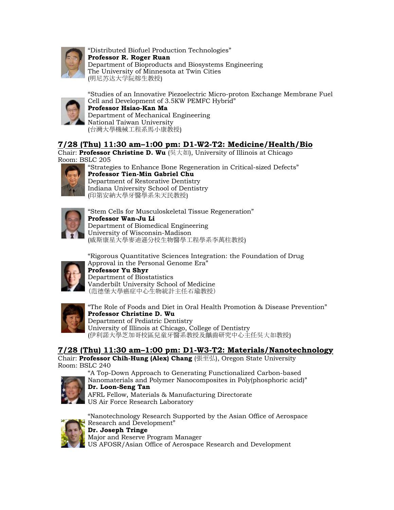

"Distributed Biofuel Production Technologies" **Professor R. Roger Ruan** Department of Bioproducts and Biosystems Engineering The University of Minnesota at Twin Cities (明尼苏达大学阮榕生教授)



"Studies of an Innovative Piezoelectric Micro-proton Exchange Membrane Fuel Cell and Development of 3.5KW PEMFC Hybrid" **Professor Hsiao-Kan Ma** Department of Mechanical Engineering National Taiwan University

(台灣大學機械工程系馬小康教授)

### **7/28 (Thu) 11:30 am–1:00 pm: D1-W2-T2: Medicine/Health/Bio**

Chair: **Professor Christine D. Wu** (吳大如), University of Illinois at Chicago Room: BSLC 205



"Strategies to Enhance Bone Regeneration in Critical-sized Defects" **Professor Tien-Min Gabriel Chu** Department of Restorative Dentistry Indiana University School of Dentistry (印第安納大學牙醫學系朱天民教授)



"Stem Cells for Musculoskeletal Tissue Regeneration" **Professor Wan-Ju Li** Department of Biomedical Engineering University of Wisconsin-Madison (威斯康星大學麥迪遜分校生物醫學工程學系李萬柱教授)

"Rigorous Quantitative Sciences Integration: the Foundation of Drug Approval in the Personal Genome Era"



**Professor Yu Shyr** Department of Biostatistics Vanderbilt University School of Medicine (范德堡大學癌症中心生物統計主任石瑜教授)



"The Role of Foods and Diet in Oral Health Promotion & Disease Prevention" **Professor Christine D. Wu** Department of Pediatric Dentistry University of Illinois at Chicago, College of Dentistry (伊利諾大學芝加哥校區兒童牙醫系教授及齲齒研究中心主任吳大如教授)

### **7/28 (Thu) 11:30 am–1:00 pm: D1-W3-T2: Materials/Nanotechnology**

Chair: **Professor Chih-Hung (Alex) Chang** (張至弘), Oregon State University Room: BSLC 240

"A Top-Down Approach to Generating Functionalized Carbon-based Nanomaterials and Polymer Nanocomposites in Poly(phosphoric acid)"



**Dr. Loon-Seng Tan** AFRL Fellow, Materials & Manufacturing Directorate US Air Force Research Laboratory



"Nanotechnology Research Supported by the Asian Office of Aerospace Research and Development" **Dr. Joseph Tringe**

Major and Reserve Program Manager US AFOSR/Asian Office of Aerospace Research and Development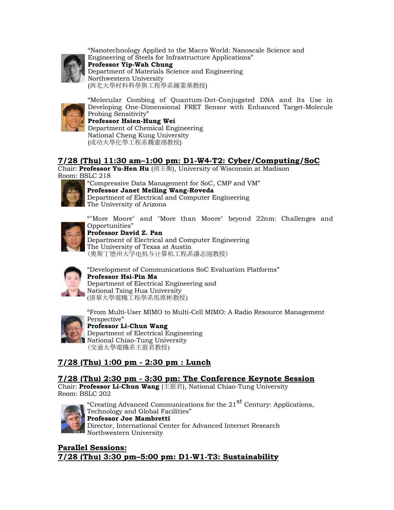

"Nanotechnology Applied to the Macro World: Nanoscale Science and Engineering of Steels for Infrastructure Applications" **Professor Yip-Wah Chung** Department of Materials Science and Engineering Northwestern University (西北大學材料科學與工程學系鐘業華教授)



"Molecular Combing of Quantum-Dot-Conjugated DNA and Its Use in Developing One-Dimensional FRET Sensor with Enhanced Target-Molecule Probing Sensitivity"

**Professor Hsien-Hung Wei** Department of Chemical Engineering National Cheng Kung University (成功大學化學工程系魏憲鴻教授)

### **7/28 (Thu) 11:30 am–1:00 pm: D1-W4-T2: Cyber/Computing/SoC**

Chair: **Professor Yu-Hen Hu** (胡玉衡), University of Wisconsin at Madison Room: BSLC 218



"Compressive Data Management for SoC, CMP and VM" **Professor Janet Meiling Wang-Roveda** Department of Electrical and Computer Engineering The University of Arizona



""More Moore" and "More than Moore" beyond 22nm: Challenges and Opportunities" **Professor David Z. Pan**

Department of Electrical and Computer Engineering The University of Texas at Austin (奥斯丁德州大学电机与计算机工程系潘志刚教授)



"Development of Communications SoC Evaluation Platforms" **Professor Hsi-Pin Ma** Department of Electrical Engineering and National Tsing Hua University (清華大學電機工程學系馬席彬教授)



"From Multi-User MIMO to Multi-Cell MIMO: A Radio Resource Management Perspective"

**Professor Li-Chun Wang** Department of Electrical Engineering National Chiao-Tung University (交通大學電機系王蒞君教授)

## **7/28 (Thu) 1:00 pm - 2:30 pm : Lunch**

#### **7/28 (Thu) 2:30 pm - 3:30 pm: The Conference Keynote Session**

Chair: **Professor Li-Chun Wang** (王蒞君), National Chiao-Tung University Room: BSLC 202



"Creating Advanced Communications for the 21<sup>st</sup> Century: Applications, Technology and Global Facilities" **Professor Joe Mambretti** Director, International Center for Advanced Internet Research Northwestern University

**Parallel Sessions: 7/28 (Thu) 3:30 pm–5:00 pm: D1-W1-T3: Sustainability**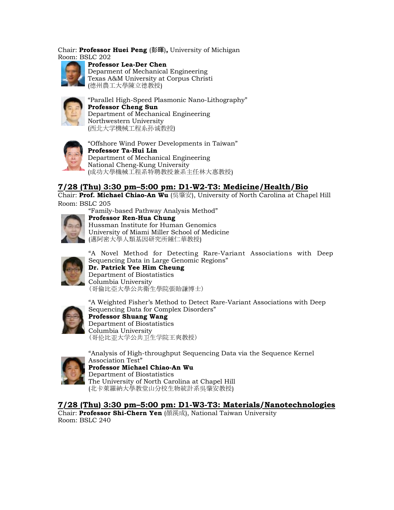Chair: **Professor Huei Peng** (彭暉)**,** University of Michigan Room: BSLC 202



**Professor Lea-Der Chen**  Deparment of Mechanical Engineering Texas A&M University at Corpus Christi (德州農工大學陳立德教授)



"Parallel High-Speed Plasmonic Nano-Lithography" **Professor Cheng Sun** Department of Mechanical Engineering Northwestern University (西北大学機械工程系孙诚教授)



"Offshore Wind Power Developments in Taiwan" **Professor Ta-Hui Lin** Department of Mechanical Engineering National Cheng-Kung University (成功大學機械工程系特聘教授兼系主任林大惠教授)

### **7/28 (Thu) 3:30 pm–5:00 pm: D1-W2-T3: Medicine/Health/Bio**

Chair: **Prof. Michael Chiao-An Wu** (吳肇安), University of North Carolina at Chapel Hill Room: BSLC 205



"Family-based Pathway Analysis Method" **Professor Ren-Hua Chung** Hussman Institute for Human Genomics University of Miami Miller School of Medicine (邁阿密大學人類基因研究所鍾仁華教授)



"A Novel Method for Detecting Rare-Variant Associations with Deep Sequencing Data in Large Genomic Regions" **Dr. Patrick Yee Him Cheung** Department of Biostatistics Columbia University (哥倫比亞大學公共衛生學院張貽謙博士)

"A Weighted Fisher's Method to Detect Rare-Variant Associations with Deep

Sequencing Data for Complex Disorders" **Professor Shuang Wang** Department of Biostatistics Columbia University (哥伦比亚大学公共卫生学院王爽教授)



"Analysis of High-throughput Sequencing Data via the Sequence Kernel Association Test" **Professor Michael Chiao-An Wu** Department of Biostatistics

The University of North Carolina at Chapel Hill (北卡萊羅納大學教堂山分校生物統計系吳肇安教授)

**7/28 (Thu) 3:30 pm–5:00 pm: D1-W3-T3: Materials/Nanotechnologies**

Chair: **Professor Shi-Chern Yen** (顏溪成), National Taiwan University Room: BSLC 240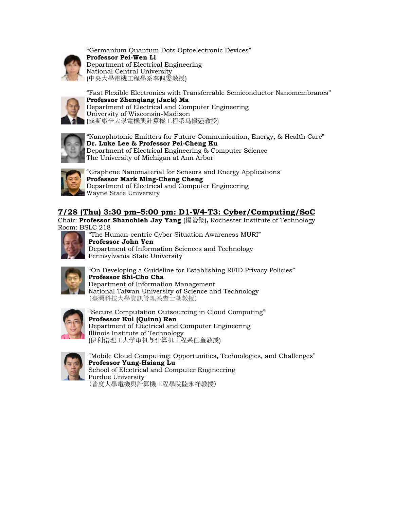

"Germanium Quantum Dots Optoelectronic Devices" **Professor Pei-Wen Li** Department of Electrical Engineering National Central University (中央大學電機工程學系李佩雯教授)



"Fast Flexible Electronics with Transferrable Semiconductor Nanomembranes" **Professor Zhenqiang (Jack) Ma** Department of Electrical and Computer Engineering University of Wisconsin-Madison (威斯康辛大學電機與計算機工程系马振强教授)



"Nanophotonic Emitters for Future Communication, Energy, & Health Care" **Dr. Luke Lee & Professor Pei-Cheng Ku** Department of Electrical Engineering & Computer Science The University of Michigan at Ann Arbor



"Graphene Nanomaterial for Sensors and Energy Applications" **Professor Mark Ming-Cheng Cheng** Department of Electrical and Computer Engineering Wayne State University

## **7/28 (Thu) 3:30 pm–5:00 pm: D1-W4-T3: Cyber/Computing/SoC**

Chair: **Professor Shanchieh Jay Yang** (楊善傑)**,** Rochester Institute of Technology Room: BSLC 218



"The Human-centric Cyber Situation Awareness MURI" **Professor John Yen** Department of Information Sciences and Technology Pennsylvania State University



"On Developing a Guideline for Establishing RFID Privacy Policies" **Professor Shi-Cho Cha** Department of Information Management National Taiwan University of Science and Technology (臺灣科技大學資訊管理系查士朝教授)



"Secure Computation Outsourcing in Cloud Computing" **Professor Kui (Quinn) Ren** Department of Electrical and Computer Engineering Illinois Institute of Technology (伊利诺理工大学电机与计算机工程系任奎教授)



"Mobile Cloud Computing: Opportunities, Technologies, and Challenges" **Professor Yung-Hsiang Lu** School of Electrical and Computer Engineering Purdue University

(普度大學電機與計算機工程學院陸永祥教授)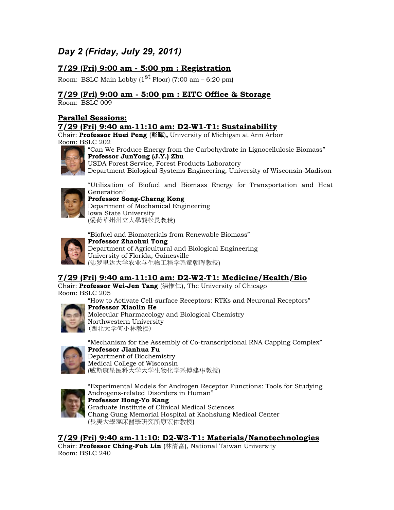# *Day 2 (Friday, July 29, 2011)*

### **7/29 (Fri) 9:00 am - 5:00 pm : Registration**

Room: BSLC Main Lobby  $(1^{\text{st}}$  Floor) (7:00 am – 6:20 pm)

#### **7/29 (Fri) 9:00 am - 5:00 pm : EITC Office & Storage**

Room: BSLC 009

#### **Parallel Sessions:**

#### **7/29 (Fri) 9:40 am-11:10 am: D2-W1-T1: Sustainability**

Chair: **Professor Huei Peng** (彭暉)**,** University of Michigan at Ann Arbor Room: BSLC 202



"Can We Produce Energy from the Carbohydrate in Lignocellulosic Biomass" **Professor JunYong (J.Y.) Zhu** USDA Forest Service, Forest Products Laboratory

Department Biological Systems Engineering, University of Wisconsin-Madison



"Utilization of Biofuel and Biomass Energy for Transportation and Heat Generation"

#### **Professor Song-Charng Kong** Department of Mechanical Engineering Iowa State University

(愛荷華州州立大學龔松長教授)

"Biofuel and Biomaterials from Renewable Biomass"



**Professor Zhaohui Tong** Department of Agricultural and Biological Engineering University of Florida, Gainesville (佛罗里达大学农业与生物工程学系童朝晖教授)

### **7/29 (Fri) 9:40 am-11:10 am: D2-W2-T1: Medicine/Health/Bio**

Chair: **Professor Wei-Jen Tang** (湯惟仁), The University of Chicago Room: BSLC 205

"How to Activate Cell-surface Receptors: RTKs and Neuronal Receptors"



**Professor Xiaolin He** Molecular Pharmacology and Biological Chemistry Northwestern University (西北大学何小林教授)



"Mechanism for the Assembly of Co-transcriptional RNA Capping Complex" **Professor Jianhua Fu** Department of Biochemistry Medical College of Wisconsin (威斯康星医科大学大学生物化学系傅建华教授)



"Experimental Models for Androgen Receptor Functions: Tools for Studying Androgens-related Disorders in Human" **Professor Hong-Yo Kang** Graduate Institute of Clinical Medical Sciences Chang Gung Memorial Hospital at Kaohsiung Medical Center (長庚大學臨床醫學研究所康宏佑教授)

**7/29 (Fri) 9:40 am-11:10: D2-W3-T1: Materials/Nanotechnologies**

Chair: **Professor Ching-Fuh Lin** (林清富), National Taiwan University Room: BSLC 240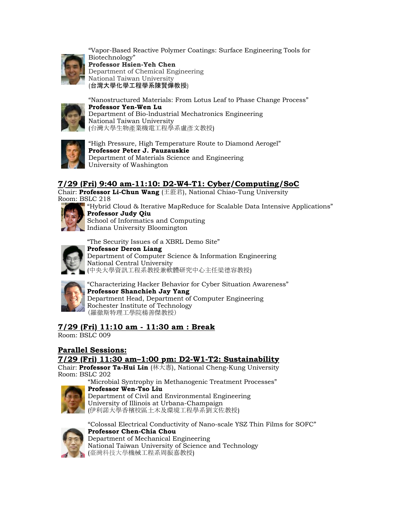

"Vapor-Based Reactive Polymer Coatings: Surface Engineering Tools for Biotechnology" **Professor Hsien-Yeh Chen**  Department of Chemical Engineering National Taiwan University (台灣大學化學工程學系陳賢燁教授)



"Nanostructured Materials: From Lotus Leaf to Phase Change Process" **Professor Yen-Wen Lu** Department of Bio-lndustrial Mechatronics Engineering National Taiwan University (台灣大學生物產業機電工程學系盧彥文教授)



"High Pressure, High Temperature Route to Diamond Aerogel" **Professor Peter J. Pauzauskie** Department of Materials Science and Engineering University of Washington

### **7/29 (Fri) 9:40 am-11:10: D2-W4-T1: Cyber/Computing/SoC**

Chair: **Professor Li-Chun Wang** (王蒞君), National Chiao-Tung University Room: BSLC 218



"Hybrid Cloud & Iterative MapReduce for Scalable Data Intensive Applications" **Professor Judy Qiu** School of Informatics and Computing

Indiana University Bloomington

"The Security Issues of a XBRL Demo Site"



**Professor Deron Liang** Department of Computer Science & Information Engineering National Central University (中央大學資訊工程系教授兼軟體研究中心主任梁德容教授)



"Characterizing Hacker Behavior for Cyber Situation Awareness" **Professor Shanchieh Jay Yang** Department Head, Department of Computer Engineering Rochester Institute of Technology (羅徹斯特理工學院楊善傑教授)

### **7/29 (Fri) 11:10 am - 11:30 am : Break**

Room: BSLC 009

#### **Parallel Sessions: 7/29 (Fri) 11:30 am–1:00 pm: D2-W1-T2: Sustainability**

Chair: **Professor Ta-Hui Lin** (林大惠), National Cheng-Kung University Room: BSLC 202



**Professor Wen-Tso Liu** Department of Civil and Environmental Engineering University of Illinois at Urbana-Champaign (伊利諾大學香檳校區土木及環境工程學系劉文佐教授)

"Microbial Syntrophy in Methanogenic Treatment Processes"



"Colossal Electrical Conductivity of Nano-scale YSZ Thin Films for SOFC" **Professor Chen-Chia Chou** Department of Mechanical Engineering National Taiwan University of Science and Technology (臺灣科技大學機械工程系周振嘉教授)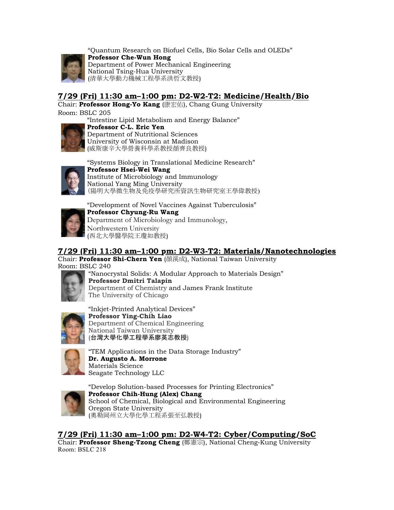

"Quantum Research on Biofuel Cells, Bio Solar Cells and OLEDs" **Professor Che-Wun Hong** Department of Power Mechanical Engineering National Tsing-Hua University (清華大學動力機械工程學系洪哲文教授)

## **7/29 (Fri) 11:30 am–1:00 pm: D2-W2-T2: Medicine/Health/Bio**

Chair: **Professor Hong-Yo Kang** (康宏佑), Chang Gung University Room: BSLC 205

"Intestine Lipid Metabolism and Energy Balance"



**Professor C-L. Eric Yen** Department of Nutritional Sciences University of Wisconsin at Madison (威斯康辛大學營養科學系教授顏齊良教授)



"Systems Biology in Translational Medicine Research" **Professor Hsei-Wei Wang** Institute of Microbiology and Immunology National Yang Ming University (陽明大學微生物及免疫學研究所資訊生物研究室王學偉教授)



"Development of Novel Vaccines Against Tuberculosis" **Professor Chyung-Ru Wang** Department of Microbiology and Immunology, Northwestern University (西北大學醫學院王瓊如教授)

### **7/29 (Fri) 11:30 am–1:00 pm: D2-W3-T2: Materials/Nanotechnologies**

Chair: **Professor Shi-Chern Yen** (顏溪成), National Taiwan University Room: BSLC 240



"Nanocrystal Solids: A Modular Approach to Materials Design" **Professor Dmitri Talapin** Department of Chemistry and James Frank Institute The University of Chicago



"Inkjet-Printed Analytical Devices" **Professor Ying-Chih Liao**  Department of Chemical Engineering National Taiwan University (台灣大學化學工程學系廖英志教授)



"TEM Applications in the Data Storage Industry" **Dr. Augusto A. Morrone** Materials Science Seagate Technology LLC



"Develop Solution-based Processes for Printing Electronics" **Professor Chih-Hung (Alex) Chang** School of Chemical, Biological and Environmental Engineering Oregon State University (奧勒岡州立大學化學工程系張至弘教授)

**7/29 (Fri) 11:30 am–1:00 pm: D2-W4-T2: Cyber/Computing/SoC**

Chair: **Professor Sheng-Tzong Cheng** (鄭憲宗), National Cheng-Kung University Room: BSLC 218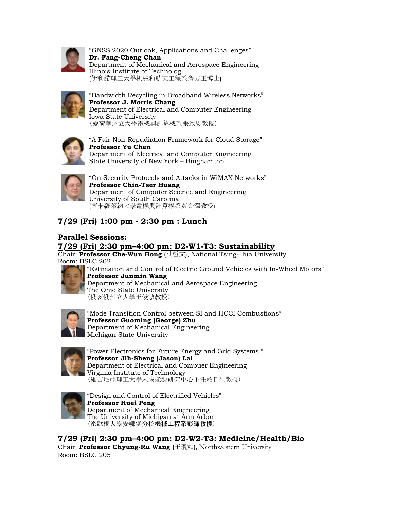

"GNSS 2020 Outlook, Applications and Challenges" **Dr. Fang-Cheng Chan** Department of Mechanical and Aerospace Engineering Illinois Institute of Technolog (伊利諾理工大學机械和航天工程系詹方正博士)



"Bandwidth Recycling in Broadband Wireless Networks" **Professor J. Morris Chang** Department of Electrical and Computer Engineering Iowa State University (愛荷華州立大學電機與計算機系張致恩教授)



"A Fair Non-Repudiation Framework for Cloud Storage" **Professor Yu Chen** Department of Electrical and Computer Engineering State University of New York – Binghamton



"On Security Protocols and Attacks in WiMAX Networks" **Professor Chin-Tser Huang** Department of Computer Science and Engineering University of South Carolina (南卡羅萊納大學電機與計算機系黃金澤教授)

## **7/29 (Fri) 1:00 pm - 2:30 pm : Lunch**

### **Parallel Sessions:**

#### **7/29 (Fri) 2:30 pm–4:00 pm: D2-W1-T3: Sustainability**

Chair: **Professor Che-Wun Hong** (洪哲文), National Tsing-Hua University Room: BSLC 202



"Estimation and Control of Electric Ground Vehicles with In-Wheel Motors" **Professor Junmin Wang** Department of Mechanical and Aerospace Engineering The Ohio State University (俄亥俄州立大學王俊敏教授)



"Mode Transition Control between SI and HCCI Combustions" **Professor Guoming (George) Zhu** Department of Mechanical Engineering Michigan State University



"Power Electronics for Future Energy and Grid Systems " **Professor Jih-Sheng (Jason) Lai** Department of Electrical and Compuer Engineering Virginia Institute of Technology (維吉尼亞理工大學未來能源研究中心主任賴日生教授)



"Design and Control of Electrified Vehicles" **Professor Huei Peng**  Department of Mechanical Engineering The University of Michigan at Ann Arbor (密歇根大學安娜堡分校機械工程系彭暉教授)

**7/29 (Fri) 2:30 pm–4:00 pm: D2-W2-T3: Medicine/Health/Bio**

Chair: **Professor Chyung-Ru Wang** (王瓊如), Northwestern University Room: BSLC 205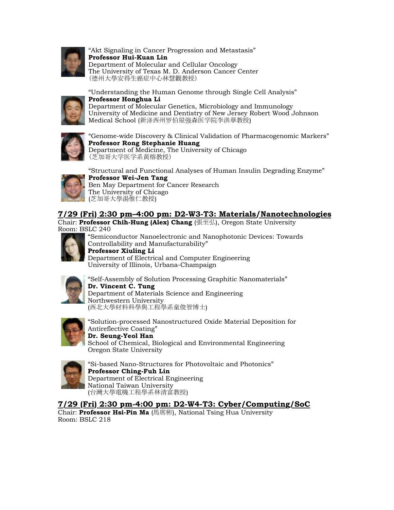

"Akt Signaling in Cancer Progression and Metastasis" **Professor Hui-Kuan Lin** Department of Molecular and Cellular Oncology The University of Texas M. D. Anderson Cancer Center (德州大學安得生癌症中心林慧觀教授)



"Understanding the Human Genome through Single Cell Analysis" **Professor Honghua Li** Department of Molecular Genetics, Microbiology and Immunology University of Medicine and Dentistry of New Jersey Robert Wood Johnson Medical School (新泽西州罗伯屋强森医学院李洪華教授)



"Genome-wide Discovery & Clinical Validation of Pharmacogenomic Markers" **Professor Rong Stephanie Huang** Department of Medicine, The University of Chicago (芝加哥大学医学系黄榕教授)



"Structural and Functional Analyses of Human Insulin Degrading Enzyme"

**Professor Wei-Jen Tang** Ben May Department for Cancer Research The University of Chicago (芝加哥大學湯惟仁教授)

#### **7/29 (Fri) 2:30 pm–4:00 pm: D2-W3-T3: Materials/Nanotechnologies**

Chair: **Professor Chih-Hung (Alex) Chang** (張至弘), Oregon State University Room: BSLC 240



"Semiconductor Nanoelectronic and Nanophotonic Devices: Towards Controllability and Manufacturability"

**Professor Xiuling Li** Department of Electrical and Computer Engineering University of Illinois, Urbana-Champaign



"Self-Assembly of Solution Processing Graphitic Nanomaterials" **Dr. Vincent C. Tung** Department of Materials Science and Engineering Northwestern University (西北大學材料科學與工程學系童俊智博士)



"Solution-processed Nanostructured Oxide Material Deposition for Antireflective Coating" **Dr. Seung-Yeol Han** School of Chemical, Biological and Environmental Engineering Oregon State University



"Si-based Nano-Structures for Photovoltaic and Photonics" **Professor Ching-Fuh Lin**  Department of Electrical Engineering National Taiwan University (台灣大學電機工程學系林清富教授)

**7/29 (Fri) 2:30 pm-4:00 pm: D2-W4-T3: Cyber/Computing/SoC**

Chair: **Professor Hsi-Pin Ma** (馬席彬), National Tsing Hua University Room: BSLC 218